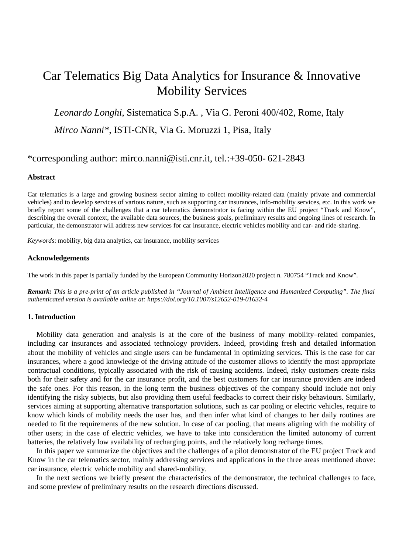# Car Telematics Big Data Analytics for Insurance & Innovative Mobility Services

*Leonardo Longhi*, Sistematica S.p.A. , Via G. Peroni 400/402, Rome, Italy *Mirco Nanni\**, ISTI-CNR, Via G. Moruzzi 1, Pisa, Italy

# \*corresponding author: [mirco.nanni@isti.cnr.it,](mailto:mirco.nanni@isti.cnr.it) tel.:+39-050- 621-2843

#### **Abstract**

Car telematics is a large and growing business sector aiming to collect mobility-related data (mainly private and commercial vehicles) and to develop services of various nature, such as supporting car insurances, info-mobility services, etc. In this work we briefly report some of the challenges that a car telematics demonstrator is facing within the EU project "Track and Know", describing the overall context, the available data sources, the business goals, preliminary results and ongoing lines of research. In particular, the demonstrator will address new services for car insurance, electric vehicles mobility and car- and ride-sharing.

*Keywords*: mobility, big data analytics, car insurance, mobility services

## **Acknowledgements**

The work in this paper is partially funded by the European Community Horizon2020 project n. 780754 "Track and Know".

*Remark: This is a pre-print of an article published in "Journal of Ambient Intelligence and Humanized Computing". The final authenticated version is available online at: https://doi.org/10.1007/s12652-019-01632-4* 

# **1. Introduction**

Mobility data generation and analysis is at the core of the business of many mobility–related companies, including car insurances and associated technology providers. Indeed, providing fresh and detailed information about the mobility of vehicles and single users can be fundamental in optimizing services. This is the case for car insurances, where a good knowledge of the driving attitude of the customer allows to identify the most appropriate contractual conditions, typically associated with the risk of causing accidents. Indeed, risky customers create risks both for their safety and for the car insurance profit, and the best customers for car insurance providers are indeed the safe ones. For this reason, in the long term the business objectives of the company should include not only identifying the risky subjects, but also providing them useful feedbacks to correct their risky behaviours. Similarly, services aiming at supporting alternative transportation solutions, such as car pooling or electric vehicles, require to know which kinds of mobility needs the user has, and then infer what kind of changes to her daily routines are needed to fit the requirements of the new solution. In case of car pooling, that means aligning with the mobility of other users; in the case of electric vehicles, we have to take into consideration the limited autonomy of current batteries, the relatively low availability of recharging points, and the relatively long recharge times.

In this paper we summarize the objectives and the challenges of a pilot demonstrator of the EU project Track and Know in the car telematics sector, mainly addressing services and applications in the three areas mentioned above: car insurance, electric vehicle mobility and shared-mobility.

In the next sections we briefly present the characteristics of the demonstrator, the technical challenges to face, and some preview of preliminary results on the research directions discussed.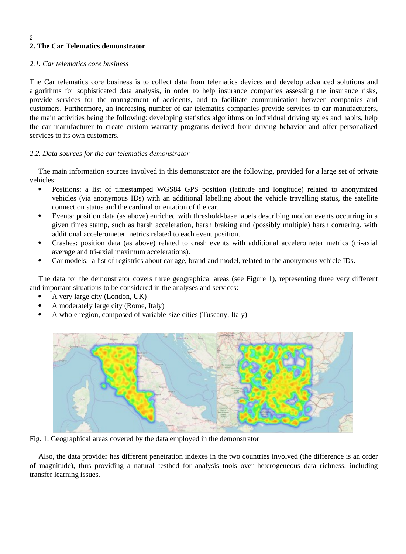# *2* **2. The Car Telematics demonstrator**

# *2.1. Car telematics core business*

The Car telematics core business is to collect data from telematics devices and develop advanced solutions and algorithms for sophisticated data analysis, in order to help insurance companies assessing the insurance risks, provide services for the management of accidents, and to facilitate communication between companies and customers. Furthermore, an increasing number of car telematics companies provide services to car manufacturers, the main activities being the following: developing statistics algorithms on individual driving styles and habits, help the car manufacturer to create custom warranty programs derived from driving behavior and offer personalized services to its own customers.

# *2.2. Data sources for the car telematics demonstrator*

The main information sources involved in this demonstrator are the following, provided for a large set of private vehicles:

- Positions: a list of timestamped WGS84 GPS position (latitude and longitude) related to anonymized vehicles (via anonymous IDs) with an additional labelling about the vehicle travelling status, the satellite connection status and the cardinal orientation of the car.
- Events: position data (as above) enriched with threshold-base labels describing motion events occurring in a given times stamp, such as harsh acceleration, harsh braking and (possibly multiple) harsh cornering, with additional accelerometer metrics related to each event position.
- Crashes: position data (as above) related to crash events with additional accelerometer metrics (tri-axial average and tri-axial maximum accelerations).
- Car models: a list of registries about car age, brand and model, related to the anonymous vehicle IDs.

The data for the demonstrator covers three geographical areas (see Figure 1), representing three very different and important situations to be considered in the analyses and services:

- A very large city (London, UK)
- A moderately large city (Rome, Italy)
- A whole region, composed of variable-size cities (Tuscany, Italy)



Fig. 1. Geographical areas covered by the data employed in the demonstrator

Also, the data provider has different penetration indexes in the two countries involved (the difference is an order of magnitude), thus providing a natural testbed for analysis tools over heterogeneous data richness, including transfer learning issues.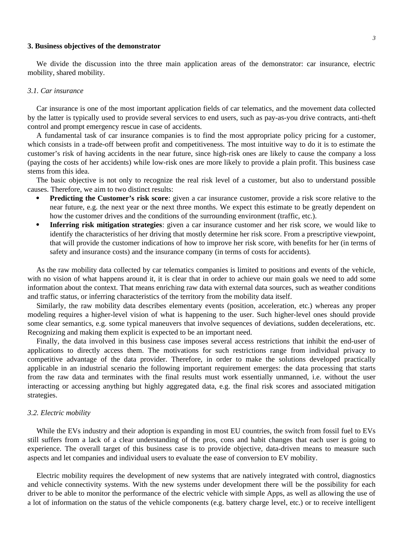#### **3. Business objectives of the demonstrator**

We divide the discussion into the three main application areas of the demonstrator: car insurance, electric mobility, shared mobility.

#### *3.1. Car insurance*

Car insurance is one of the most important application fields of car telematics, and the movement data collected by the latter is typically used to provide several services to end users, such as pay-as-you drive contracts, anti-theft control and prompt emergency rescue in case of accidents.

A fundamental task of car insurance companies is to find the most appropriate policy pricing for a customer, which consists in a trade-off between profit and competitiveness. The most intuitive way to do it is to estimate the customer's risk of having accidents in the near future, since high-risk ones are likely to cause the company a loss (paying the costs of her accidents) while low-risk ones are more likely to provide a plain profit. This business case stems from this idea.

The basic objective is not only to recognize the real risk level of a customer, but also to understand possible causes. Therefore, we aim to two distinct results:

- **Predicting the Customer's risk score**: given a car insurance customer, provide a risk score relative to the near future, e.g. the next year or the next three months. We expect this estimate to be greatly dependent on how the customer drives and the conditions of the surrounding environment (traffic, etc.).
- **Inferring risk mitigation strategies**: given a car insurance customer and her risk score, we would like to identify the characteristics of her driving that mostly determine her risk score. From a prescriptive viewpoint, that will provide the customer indications of how to improve her risk score, with benefits for her (in terms of safety and insurance costs) and the insurance company (in terms of costs for accidents).

As the raw mobility data collected by car telematics companies is limited to positions and events of the vehicle, with no vision of what happens around it, it is clear that in order to achieve our main goals we need to add some information about the context. That means enriching raw data with external data sources, such as weather conditions and traffic status, or inferring characteristics of the territory from the mobility data itself.

Similarly, the raw mobility data describes elementary events (position, acceleration, etc.) whereas any proper modeling requires a higher-level vision of what is happening to the user. Such higher-level ones should provide some clear semantics, e.g. some typical maneuvers that involve sequences of deviations, sudden decelerations, etc. Recognizing and making them explicit is expected to be an important need.

Finally, the data involved in this business case imposes several access restrictions that inhibit the end-user of applications to directly access them. The motivations for such restrictions range from individual privacy to competitive advantage of the data provider. Therefore, in order to make the solutions developed practically applicable in an industrial scenario the following important requirement emerges: the data processing that starts from the raw data and terminates with the final results must work essentially unmanned, i.e. without the user interacting or accessing anything but highly aggregated data, e.g. the final risk scores and associated mitigation strategies.

#### *3.2. Electric mobility*

While the EVs industry and their adoption is expanding in most EU countries, the switch from fossil fuel to EVs still suffers from a lack of a clear understanding of the pros, cons and habit changes that each user is going to experience. The overall target of this business case is to provide objective, data-driven means to measure such aspects and let companies and individual users to evaluate the ease of conversion to EV mobility.

Electric mobility requires the development of new systems that are natively integrated with control, diagnostics and vehicle connectivity systems. With the new systems under development there will be the possibility for each driver to be able to monitor the performance of the electric vehicle with simple Apps, as well as allowing the use of a lot of information on the status of the vehicle components (e.g. battery charge level, etc.) or to receive intelligent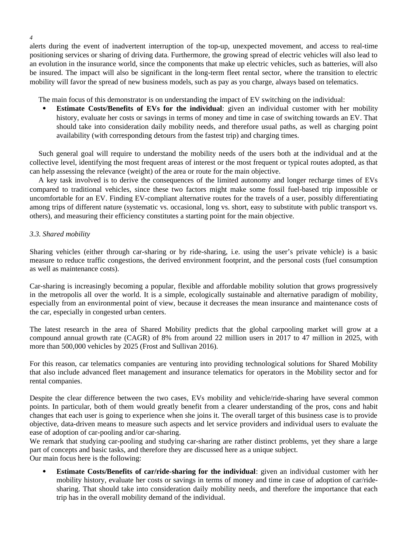alerts during the event of inadvertent interruption of the top-up, unexpected movement, and access to real-time positioning services or sharing of driving data. Furthermore, the growing spread of electric vehicles will also lead to an evolution in the insurance world, since the components that make up electric vehicles, such as batteries, will also be insured. The impact will also be significant in the long-term fleet rental sector, where the transition to electric mobility will favor the spread of new business models, such as pay as you charge, always based on telematics.

The main focus of this demonstrator is on understanding the impact of EV switching on the individual:

 **Estimate Costs/Benefits of EVs for the individual**: given an individual customer with her mobility history, evaluate her costs or savings in terms of money and time in case of switching towards an EV. That should take into consideration daily mobility needs, and therefore usual paths, as well as charging point availability (with corresponding detours from the fastest trip) and charging times.

Such general goal will require to understand the mobility needs of the users both at the individual and at the collective level, identifying the most frequent areas of interest or the most frequent or typical routes adopted, as that can help assessing the relevance (weight) of the area or route for the main objective.

A key task involved is to derive the consequences of the limited autonomy and longer recharge times of EVs compared to traditional vehicles, since these two factors might make some fossil fuel-based trip impossible or uncomfortable for an EV. Finding EV-compliant alternative routes for the travels of a user, possibly differentiating among trips of different nature (systematic vs. occasional, long vs. short, easy to substitute with public transport vs. others), and measuring their efficiency constitutes a starting point for the main objective.

# *3.3. Shared mobility*

*4*

Sharing vehicles (either through car-sharing or by ride-sharing, i.e. using the user's private vehicle) is a basic measure to reduce traffic congestions, the derived environment footprint, and the personal costs (fuel consumption as well as maintenance costs).

Car-sharing is increasingly becoming a popular, flexible and affordable mobility solution that grows progressively in the metropolis all over the world. It is a simple, ecologically sustainable and alternative paradigm of mobility, especially from an environmental point of view, because it decreases the mean insurance and maintenance costs of the car, especially in congested urban centers.

The latest research in the area of Shared Mobility predicts that the global carpooling market will grow at a compound annual growth rate (CAGR) of 8% from around 22 million users in 2017 to 47 million in 2025, with more than 500,000 vehicles by 2025 (Frost and Sullivan 2016).

For this reason, car telematics companies are venturing into providing technological solutions for Shared Mobility that also include advanced fleet management and insurance telematics for operators in the Mobility sector and for rental companies.

Despite the clear difference between the two cases, EVs mobility and vehicle/ride-sharing have several common points. In particular, both of them would greatly benefit from a clearer understanding of the pros, cons and habit changes that each user is going to experience when she joins it. The overall target of this business case is to provide objective, data-driven means to measure such aspects and let service providers and individual users to evaluate the ease of adoption of car-pooling and/or car-sharing.

We remark that studying car-pooling and studying car-sharing are rather distinct problems, yet they share a large part of concepts and basic tasks, and therefore they are discussed here as a unique subject. Our main focus here is the following:

 **Estimate Costs/Benefits of car/ride-sharing for the individual**: given an individual customer with her mobility history, evaluate her costs or savings in terms of money and time in case of adoption of car/ridesharing. That should take into consideration daily mobility needs, and therefore the importance that each trip has in the overall mobility demand of the individual.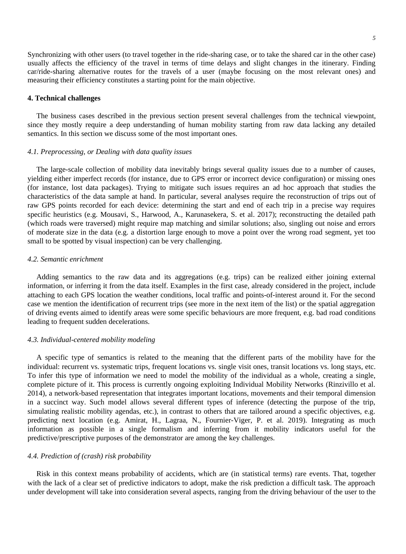Synchronizing with other users (to travel together in the ride-sharing case, or to take the shared car in the other case) usually affects the efficiency of the travel in terms of time delays and slight changes in the itinerary. Finding car/ride-sharing alternative routes for the travels of a user (maybe focusing on the most relevant ones) and measuring their efficiency constitutes a starting point for the main objective.

# **4. Technical challenges**

The business cases described in the previous section present several challenges from the technical viewpoint, since they mostly require a deep understanding of human mobility starting from raw data lacking any detailed semantics. In this section we discuss some of the most important ones.

# *4.1. Preprocessing, or Dealing with data quality issues*

The large-scale collection of mobility data inevitably brings several quality issues due to a number of causes, yielding either imperfect records (for instance, due to GPS error or incorrect device configuration) or missing ones (for instance, lost data packages). Trying to mitigate such issues requires an ad hoc approach that studies the characteristics of the data sample at hand. In particular, several analyses require the reconstruction of trips out of raw GPS points recorded for each device: determining the start and end of each trip in a precise way requires specific heuristics (e.g. Mousavi, S., Harwood, A., Karunasekera, S. et al. 2017); reconstructing the detailed path (which roads were traversed) might require map matching and similar solutions; also, singling out noise and errors of moderate size in the data (e.g. a distortion large enough to move a point over the wrong road segment, yet too small to be spotted by visual inspection) can be very challenging.

#### *4.2. Semantic enrichment*

Adding semantics to the raw data and its aggregations (e.g. trips) can be realized either joining external information, or inferring it from the data itself. Examples in the first case, already considered in the project, include attaching to each GPS location the weather conditions, local traffic and points-of-interest around it. For the second case we mention the identification of recurrent trips (see more in the next item of the list) or the spatial aggregation of driving events aimed to identify areas were some specific behaviours are more frequent, e.g. bad road conditions leading to frequent sudden decelerations.

# *4.3. Individual-centered mobility modeling*

A specific type of semantics is related to the meaning that the different parts of the mobility have for the individual: recurrent vs. systematic trips, frequent locations vs. single visit ones, transit locations vs. long stays, etc. To infer this type of information we need to model the mobility of the individual as a whole, creating a single, complete picture of it. This process is currently ongoing exploiting Individual Mobility Networks (Rinzivillo et al. 2014), a network-based representation that integrates important locations, movements and their temporal dimension in a succinct way. Such model allows several different types of inference (detecting the purpose of the trip, simulating realistic mobility agendas, etc.), in contrast to others that are tailored around a specific objectives, e.g. predicting next location (e.g. Amirat, H., Lagraa, N., Fournier-Viger, P. et al. 2019). Integrating as much information as possible in a single formalism and inferring from it mobility indicators useful for the predictive/prescriptive purposes of the demonstrator are among the key challenges.

# *4.4. Prediction of (crash) risk probability*

Risk in this context means probability of accidents, which are (in statistical terms) rare events. That, together with the lack of a clear set of predictive indicators to adopt, make the risk prediction a difficult task. The approach under development will take into consideration several aspects, ranging from the driving behaviour of the user to the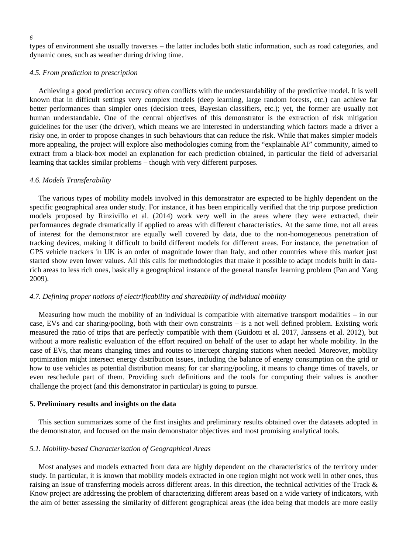*6*

types of environment she usually traverses – the latter includes both static information, such as road categories, and dynamic ones, such as weather during driving time.

# *4.5. From prediction to prescription*

Achieving a good prediction accuracy often conflicts with the understandability of the predictive model. It is well known that in difficult settings very complex models (deep learning, large random forests, etc.) can achieve far better performances than simpler ones (decision trees, Bayesian classifiers, etc.); yet, the former are usually not human understandable. One of the central objectives of this demonstrator is the extraction of risk mitigation guidelines for the user (the driver), which means we are interested in understanding which factors made a driver a risky one, in order to propose changes in such behaviours that can reduce the risk. While that makes simpler models more appealing, the project will explore also methodologies coming from the "explainable AI" community, aimed to extract from a black-box model an explanation for each prediction obtained, in particular the field of adversarial learning that tackles similar problems – though with very different purposes.

## *4.6. Models Transferability*

The various types of mobility models involved in this demonstrator are expected to be highly dependent on the specific geographical area under study. For instance, it has been empirically verified that the trip purpose prediction models proposed by Rinzivillo et al. (2014) work very well in the areas where they were extracted, their performances degrade dramatically if applied to areas with different characteristics. At the same time, not all areas of interest for the demonstrator are equally well covered by data, due to the non-homogeneous penetration of tracking devices, making it difficult to build different models for different areas. For instance, the penetration of GPS vehicle trackers in UK is an order of magnitude lower than Italy, and other countries where this market just started show even lower values. All this calls for methodologies that make it possible to adapt models built in datarich areas to less rich ones, basically a geographical instance of the general transfer learning problem (Pan and Yang 2009).

#### *4.7. Defining proper notions of electrificability and shareability of individual mobility*

Measuring how much the mobility of an individual is compatible with alternative transport modalities – in our case, EVs and car sharing/pooling, both with their own constraints – is a not well defined problem. Existing work measured the ratio of trips that are perfectly compatible with them (Guidotti et al. 2017, Janssens et al. 2012), but without a more realistic evaluation of the effort required on behalf of the user to adapt her whole mobility. In the case of EVs, that means changing times and routes to intercept charging stations when needed. Moreover, mobility optimization might intersect energy distribution issues, including the balance of energy consumption on the grid or how to use vehicles as potential distribution means; for car sharing/pooling, it means to change times of travels, or even reschedule part of them. Providing such definitions and the tools for computing their values is another challenge the project (and this demonstrator in particular) is going to pursue.

## **5. Preliminary results and insights on the data**

This section summarizes some of the first insights and preliminary results obtained over the datasets adopted in the demonstrator, and focused on the main demonstrator objectives and most promising analytical tools.

#### *5.1. Mobility-based Characterization of Geographical Areas*

Most analyses and models extracted from data are highly dependent on the characteristics of the territory under study. In particular, it is known that mobility models extracted in one region might not work well in other ones, thus raising an issue of transferring models across different areas. In this direction, the technical activities of the Track & Know project are addressing the problem of characterizing different areas based on a wide variety of indicators, with the aim of better assessing the similarity of different geographical areas (the idea being that models are more easily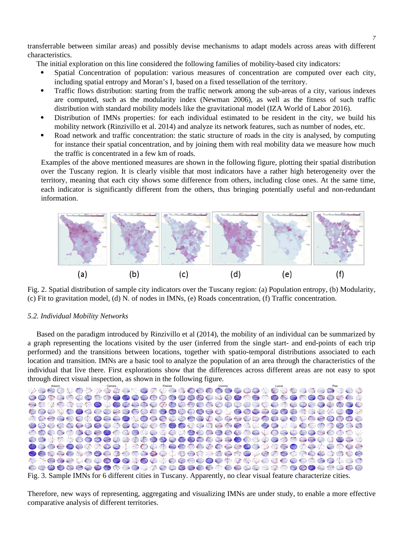transferrable between similar areas) and possibly devise mechanisms to adapt models across areas with different characteristics.

The initial exploration on this line considered the following families of mobility-based city indicators:

- Spatial Concentration of population: various measures of concentration are computed over each city, including spatial entropy and Moran's I, based on a fixed tessellation of the territory.
- Traffic flows distribution: starting from the traffic network among the sub-areas of a city, various indexes are computed, such as the modularity index (Newman 2006), as well as the fitness of such traffic distribution with standard mobility models like the gravitational model (IZA World of Labor 2016).
- Distribution of IMNs properties: for each individual estimated to be resident in the city, we build his mobility network (Rinzivillo et al. 2014) and analyze its network features, such as number of nodes, etc.
- Road network and traffic concentration: the static structure of roads in the city is analysed, by computing for instance their spatial concentration, and by joining them with real mobility data we measure how much the traffic is concentrated in a few km of roads.

Examples of the above mentioned measures are shown in the following figure, plotting their spatial distribution over the Tuscany region. It is clearly visible that most indicators have a rather high heterogeneity over the territory, meaning that each city shows some difference from others, including close ones. At the same time, each indicator is significantly different from the others, thus bringing potentially useful and non-redundant information.



Fig. 2. Spatial distribution of sample city indicators over the Tuscany region: (a) Population entropy, (b) Modularity, (c) Fit to gravitation model, (d) N. of nodes in IMNs, (e) Roads concentration, (f) Traffic concentration.

# *5.2. Individual Mobility Networks*

Based on the paradigm introduced by Rinzivillo et al (2014), the mobility of an individual can be summarized by a graph representing the locations visited by the user (inferred from the single start- and end-points of each trip performed) and the transitions between locations, together with spatio-temporal distributions associated to each location and transition. IMNs are a basic tool to analyze the population of an area through the characteristics of the individual that live there. First explorations show that the differences across different areas are not easy to spot through direct visual inspection, as shown in the following figure.



Fig. 3. Sample IMNs for 6 different cities in Tuscany. Apparently, no clear visual feature characterize cities.

Therefore, new ways of representing, aggregating and visualizing IMNs are under study, to enable a more effective comparative analysis of different territories.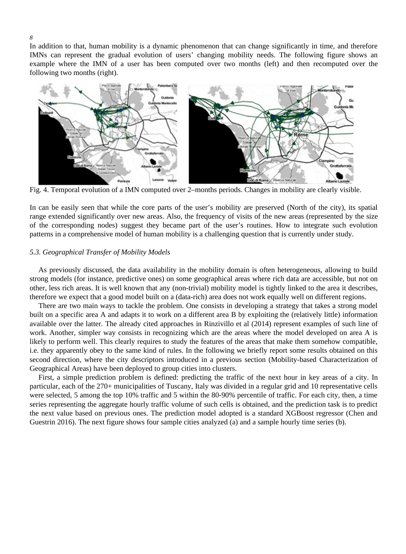In addition to that, human mobility is a dynamic phenomenon that can change significantly in time, and therefore IMNs can represent the gradual evolution of users' changing mobility needs. The following figure shows an example where the IMN of a user has been computed over two months (left) and then recomputed over the following two months (right).



Fig. 4. Temporal evolution of a IMN computed over 2–months periods. Changes in mobility are clearly visible.

In can be easily seen that while the core parts of the user's mobility are preserved (North of the city), its spatial range extended significantly over new areas. Also, the frequency of visits of the new areas (represented by the size of the corresponding nodes) suggest they became part of the user's routines. How to integrate such evolution patterns in a comprehensive model of human mobility is a challenging question that is currently under study.

# *5.3. Geographical Transfer of Mobility Models*

As previously discussed, the data availability in the mobility domain is often heterogeneous, allowing to build strong models (for instance, predictive ones) on some geographical areas where rich data are accessible, but not on other, less rich areas. It is well known that any (non-trivial) mobility model is tightly linked to the area it describes, therefore we expect that a good model built on a (data-rich) area does not work equally well on different regions.

There are two main ways to tackle the problem. One consists in developing a strategy that takes a strong model built on a specific area A and adapts it to work on a different area B by exploiting the (relatively little) information available over the latter. The already cited approaches in Rinzivillo et al (2014) represent examples of such line of work. Another, simpler way consists in recognizing which are the areas where the model developed on area A is likely to perform well. This clearly requires to study the features of the areas that make them somehow compatible, i.e. they apparently obey to the same kind of rules. In the following we briefly report some results obtained on this second direction, where the city descriptors introduced in a previous section (Mobility-based Characterization of Geographical Areas) have been deployed to group cities into clusters.

First, a simple prediction problem is defined: predicting the traffic of the next hour in key areas of a city. In particular, each of the 270+ municipalities of Tuscany, Italy was divided in a regular grid and 10 representative cells were selected, 5 among the top 10% traffic and 5 within the 80-90% percentile of traffic. For each city, then, a time series representing the aggregate hourly traffic volume of such cells is obtained, and the prediction task is to predict the next value based on previous ones. The prediction model adopted is a standard XGBoost regressor (Chen and Guestrin 2016). The next figure shows four sample cities analyzed (a) and a sample hourly time series (b).

#### *8*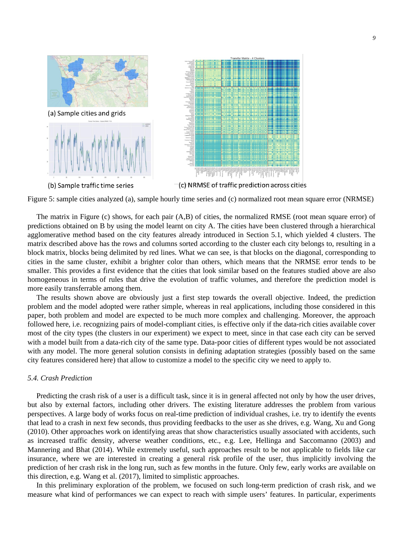

Figure 5: sample cities analyzed (a), sample hourly time series and (c) normalized root mean square error (NRMSE)

The matrix in Figure (c) shows, for each pair (A,B) of cities, the normalized RMSE (root mean square error) of predictions obtained on B by using the model learnt on city A. The cities have been clustered through a hierarchical agglomerative method based on the city features already introduced in Section 5.1, which yielded 4 clusters. The matrix described above has the rows and columns sorted according to the cluster each city belongs to, resulting in a block matrix, blocks being delimited by red lines. What we can see, is that blocks on the diagonal, corresponding to cities in the same cluster, exhibit a brighter color than others, which means that the NRMSE error tends to be smaller. This provides a first evidence that the cities that look similar based on the features studied above are also homogeneous in terms of rules that drive the evolution of traffic volumes, and therefore the prediction model is more easily transferrable among them.

The results shown above are obviously just a first step towards the overall objective. Indeed, the prediction problem and the model adopted were rather simple, whereas in real applications, including those considered in this paper, both problem and model are expected to be much more complex and challenging. Moreover, the approach followed here, i.e. recognizing pairs of model-compliant cities, is effective only if the data-rich cities available cover most of the city types (the clusters in our experiment) we expect to meet, since in that case each city can be served with a model built from a data-rich city of the same type. Data-poor cities of different types would be not associated with any model. The more general solution consists in defining adaptation strategies (possibly based on the same city features considered here) that allow to customize a model to the specific city we need to apply to.

## *5.4. Crash Prediction*

Predicting the crash risk of a user is a difficult task, since it is in general affected not only by how the user drives, but also by external factors, including other drivers. The existing literature addresses the problem from various perspectives. A large body of works focus on real-time prediction of individual crashes, i.e. try to identify the events that lead to a crash in next few seconds, thus providing feedbacks to the user as she drives, e.g. Wang, Xu and Gong (2010). Other approaches work on identifying areas that show characteristics usually associated with accidents, such as increased traffic density, adverse weather conditions, etc., e.g. Lee, Hellinga and Saccomanno (2003) and Mannering and Bhat (2014). While extremely useful, such approaches result to be not applicable to fields like car insurance, where we are interested in creating a general risk profile of the user, thus implicitly involving the prediction of her crash risk in the long run, such as few months in the future. Only few, early works are available on this direction, e.g. Wang et al. (2017), limited to simplistic approaches.

In this preliminary exploration of the problem, we focused on such long-term prediction of crash risk, and we measure what kind of performances we can expect to reach with simple users' features. In particular, experiments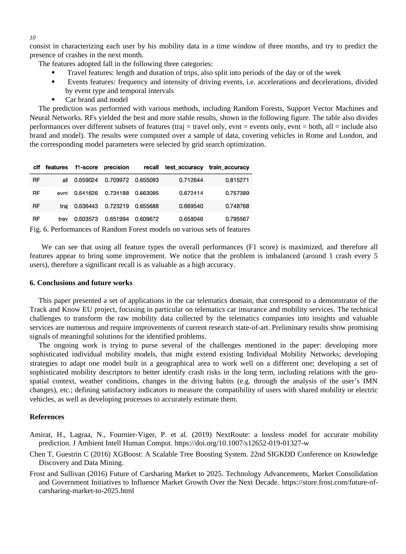consist in characterizing each user by his mobility data in a time window of three months, and try to predict the presence of crashes in the next month.

The features adopted fall in the following three categories:

- Travel features: length and duration of trips, also split into periods of the day or of the week
- Events features: frequency and intensity of driving events, i.e. accelerations and decelerations, divided by event type and temporal intervals
- Car brand and model

The prediction was performed with various methods, including Random Forests, Support Vector Machines and Neural Networks. RFs yielded the best and more stable results, shown in the following figure. The table also divides performances over different subsets of features (traj = travel only, evnt = events only, evnt = both, all = include also brand and model). The results were computed over a sample of data, covering vehicles in Rome and London, and the corresponding model parameters were selected by grid search optimization.

|           |      |          | clf features f1-score precision |          | recall test accuracy train accuracy |          |
|-----------|------|----------|---------------------------------|----------|-------------------------------------|----------|
| <b>RF</b> | all  | 0.659024 | 0.709972                        | 0.655093 | 0.712644                            | 0.815271 |
| RF        | evnt | 0.641626 | 0.734188                        | 0.663095 | 0.672414                            | 0.757389 |
| <b>RF</b> | trai | 0.636443 | 0.723219  0.655688              |          | 0.669540                            | 0.748768 |
| RF        | trev | 0.603573 | 0.651994                        | 0.609672 | 0.658046                            | 0.795567 |
|           |      |          |                                 |          |                                     |          |

Fig. 6. Performances of Random Forest models on various sets of features

We can see that using all feature types the overall performances (F1 score) is maximized, and therefore all features appear to bring some improvement. We notice that the problem is imbalanced (around 1 crash every 5 users), therefore a significant recall is as valuable as a high accuracy.

# **6. Conclusions and future works**

This paper presented a set of applications in the car telematics domain, that correspond to a demonstrator of the Track and Know EU project, focusing in particular on telematics car insurance and mobility services. The technical challenges to transform the raw mobility data collected by the telematics companies into insights and valuable services are numerous and require improvements of current research state-of-art. Preliminary results show promising signals of meaningful solutions for the identified problems.

The ongoing work is trying to purse several of the challenges mentioned in the paper: developing more sophisticated individual mobility models, that might extend existing Individual Mobility Networks; developing strategies to adapt one model built in a geographical area to work well on a different one; developing a set of sophisticated mobility descriptors to better identify crash risks in the long term, including relations with the geospatial context, weather conditions, changes in the driving habits (e.g. through the analysis of the user's IMN changes), etc.; defining satisfactory indicators to measure the compatibility of users with shared mobility or electric vehicles, as well as developing processes to accurately estimate them.

# **References**

- Amirat, H., Lagraa, N., Fournier-Viger, P. et al. (2019) NextRoute: a lossless model for accurate mobility prediction. J Ambient Intell Human Comput.<https://doi.org/10.1007/s12652-019-01327-w>
- Chen T, Guestrin C (2016) XGBoost: A Scalable Tree Boosting System. 22nd SIGKDD Conference on Knowledge Discovery and Data Mining.
- Frost and Sullivan (2016) Future of Carsharing Market to 2025. Technology Advancements, Market Consolidation and Government Initiatives to Influence Market Growth Over the Next Decade. [https://store.frost.com/future-of](https://store.frost.com/future-of-carsharing-market-to-2025.html)[carsharing-market-to-2025.html](https://store.frost.com/future-of-carsharing-market-to-2025.html)

#### *10*